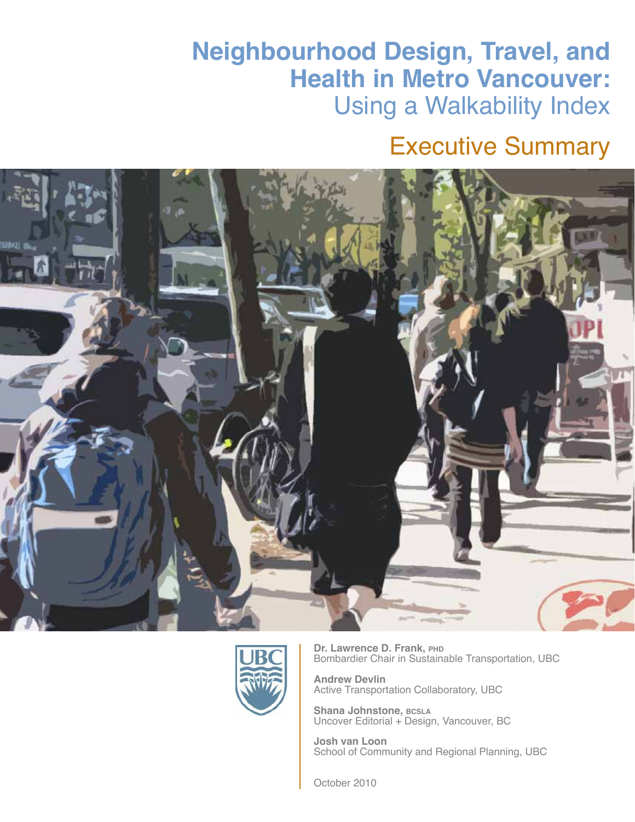## **Neighbourhood Design, Travel, and Health in Metro Vancouver:**  Using a Walkability Index

## Executive Summary





**Dr. Lawrence D. Frank, PHD** Bombardier Chair in Sustainable Transportation, UBC

**Andrew Devlin** Active Transportation Collaboratory, UBC

**Shana Johnstone, bcsla** Uncover Editorial + Design, Vancouver, BC

**Josh van Loon** School of Community and Regional Planning, UBC

October 2010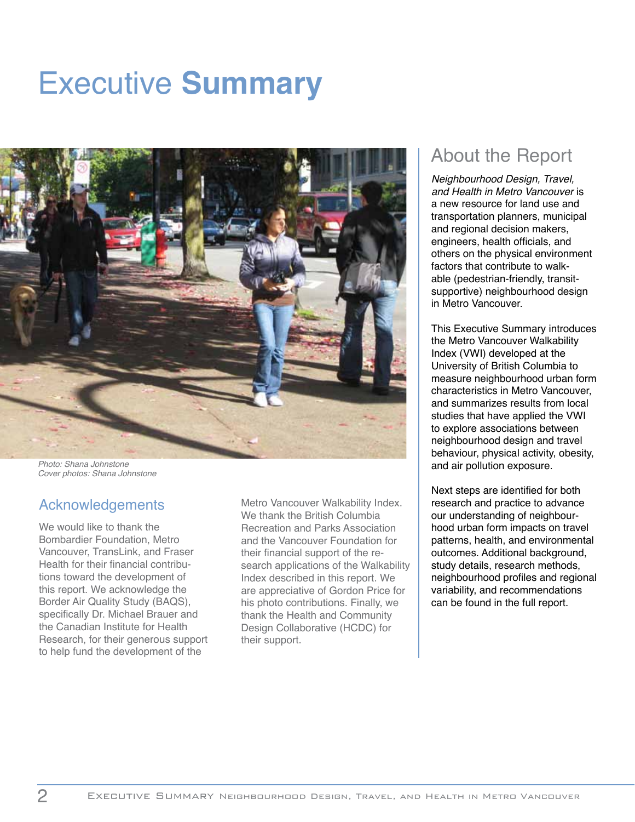# Executive **Summary**



Photo: Shana Johnstone Cover photos: Shana Johnstone

#### Acknowledgements

We would like to thank the Bombardier Foundation, Metro Vancouver, TransLink, and Fraser Health for their financial contributions toward the development of this report. We acknowledge the Border Air Quality Study (BAQS), specifically Dr. Michael Brauer and the Canadian Institute for Health Research, for their generous support to help fund the development of the

Metro Vancouver Walkability Index. We thank the British Columbia Recreation and Parks Association and the Vancouver Foundation for their financial support of the research applications of the Walkability Index described in this report. We are appreciative of Gordon Price for his photo contributions. Finally, we thank the Health and Community Design Collaborative (HCDC) for their support.

## About the Report

Neighbourhood Design, Travel, and Health in Metro Vancouver is a new resource for land use and transportation planners, municipal and regional decision makers, engineers, health officials, and others on the physical environment factors that contribute to walkable (pedestrian-friendly, transitsupportive) neighbourhood design in Metro Vancouver.

This Executive Summary introduces the Metro Vancouver Walkability Index (VWI) developed at the University of British Columbia to measure neighbourhood urban form characteristics in Metro Vancouver, and summarizes results from local studies that have applied the VWI to explore associations between neighbourhood design and travel behaviour, physical activity, obesity, and air pollution exposure.

Next steps are identified for both research and practice to advance our understanding of neighbourhood urban form impacts on travel patterns, health, and environmental outcomes. Additional background, study details, research methods, neighbourhood profiles and regional variability, and recommendations can be found in the full report.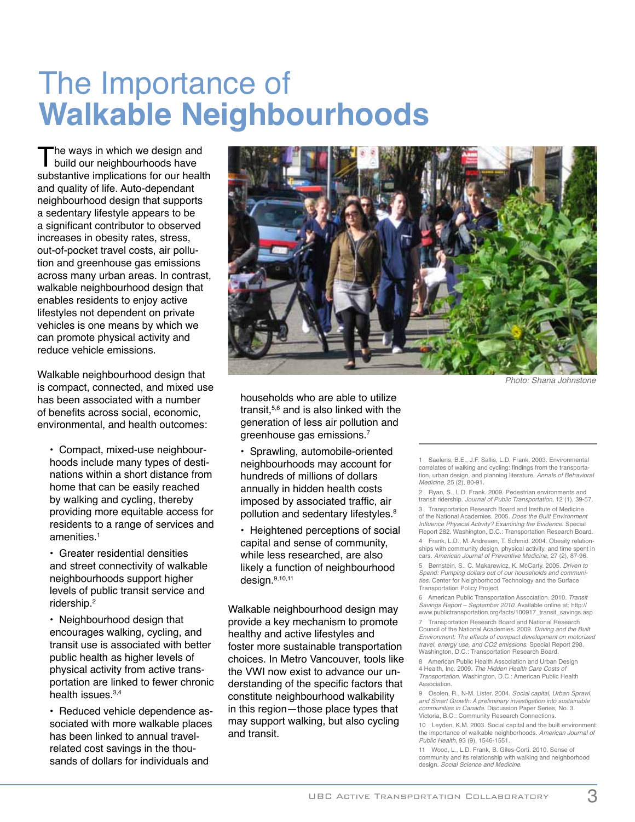# The Importance of **Walkable Neighbourhoods**

The ways in which we design and<br>build our neighbourhoods have<br>eubstantive impliestions for our boalt substantive implications for our health and quality of life. Auto-dependant neighbourhood design that supports a sedentary lifestyle appears to be a significant contributor to observed increases in obesity rates, stress, out-of-pocket travel costs, air pollution and greenhouse gas emissions across many urban areas. In contrast, walkable neighbourhood design that enables residents to enjoy active lifestyles not dependent on private vehicles is one means by which we can promote physical activity and reduce vehicle emissions.

Walkable neighbourhood design that is compact, connected, and mixed use has been associated with a number of benefits across social, economic, environmental, and health outcomes:

• Compact, mixed-use neighbourhoods include many types of destinations within a short distance from home that can be easily reached by walking and cycling, thereby providing more equitable access for residents to a range of services and amenities.1

• Greater residential densities and street connectivity of walkable neighbourhoods support higher levels of public transit service and ridership.2

• Neighbourhood design that encourages walking, cycling, and transit use is associated with better public health as higher levels of physical activity from active transportation are linked to fewer chronic health issues.<sup>3,4</sup>

• Reduced vehicle dependence associated with more walkable places has been linked to annual travelrelated cost savings in the thousands of dollars for individuals and



Photo: Shana Johnstone

households who are able to utilize transit,5,6 and is also linked with the generation of less air pollution and greenhouse gas emissions.7

• Sprawling, automobile-oriented neighbourhoods may account for hundreds of millions of dollars annually in hidden health costs imposed by associated traffic, air pollution and sedentary lifestyles.<sup>8</sup>

• Heightened perceptions of social capital and sense of community, while less researched, are also likely a function of neighbourhood design.9,10,11

Walkable neighbourhood design may provide a key mechanism to promote healthy and active lifestyles and foster more sustainable transportation choices. In Metro Vancouver, tools like the VWI now exist to advance our understanding of the specific factors that constitute neighbourhood walkability in this region—those place types that may support walking, but also cycling and transit.

Saelens, B.E., J.F. Sallis, L.D. Frank. 2003. Environmental correlates of walking and cycling: findings from the transportation, urban design, and planning literature. Annals of Behavioral Medicine, 25 (2), 80-91.

2 Ryan, S., L.D. Frank. 2009. Pedestrian environments and transit ridership. Journal of Public Transportation, 12 (1), 39-57.

3 Transportation Research Board and Institute of Medicine of the National Academies. 2005. *Does the Built Environment*<br>Influence Physical Activity? Examining the Evidence. Special Report 282. Washington, D.C.: Transportation Research Board.

4 Frank, L.D., M. Andresen, T. Schmid. 2004. Obesity relationships with community design, physical activity, and time spent in cars. American Journal of Preventive Medicine, 27 (2), 87-96.

5 Bernstein, S., C. Makarewicz, K. McCarty. 2005. Driven to Spend: Pumping dollars out of our households and communities. Center for Neighborhood Technology and the Surface Transportation Policy Project.

6 American Public Transportation Association. 2010. Transit Savings Report – September 2010. Available online at: http:// www.publictransportation.org/facts/100917\_transit\_savings.asp

7 Transportation Research Board and National Research Council of the National Academies. 2009. Driving and the Built Environment: The effects of compact development on motorized travel, energy use, and CO2 emissions. Special Report 298. Washington, D.C.: Transportation Research Board

8 American Public Health Association and Urban Design 4 Health, Inc. 2009. The Hidden Health Care Costs of Transportation. Washington, D.C.: American Public Health Association.

9 Osolen, R., N-M. Lister. 2004. Social capital, Urban Sprawl, and Smart Growth: A preliminary investigation into sustainable communities in Canada. Discussion Paper Series, No. 3. Victoria, B.C.: Community Research Connections.

10 Leyden, K.M. 2003. Social capital and the built environment: the importance of walkable neighborhoods. American Journal of Public Health, 93 (9), 1546-1551.

11 Wood, L., L.D. Frank, B. Giles-Corti. 2010. Sense of community and its relationship with walking and neighborhood design. Social Science and Medicine.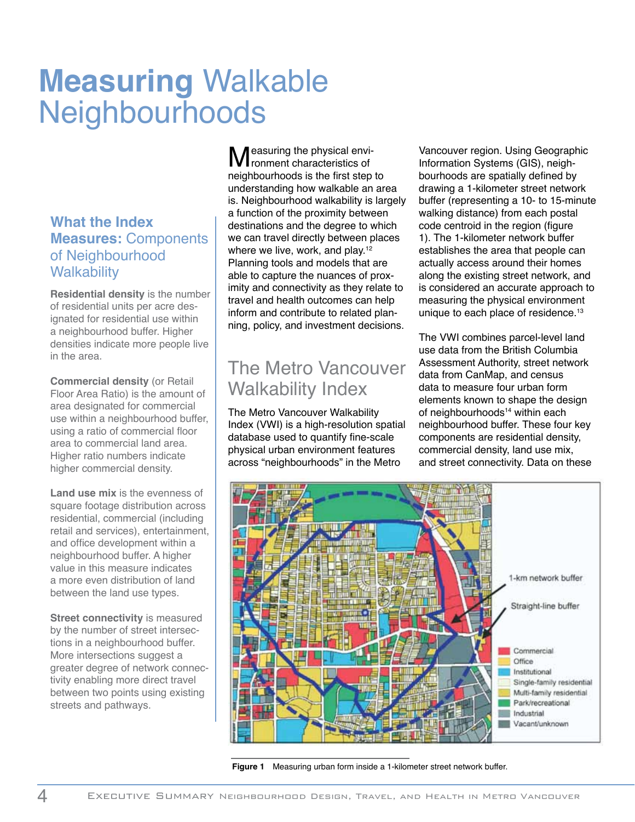# **Measuring** Walkable **Neighbourhoods**

#### **What the Index Measures:** Components of Neighbourhood **Walkability**

**Residential density** is the number of residential units per acre designated for residential use within a neighbourhood buffer. Higher densities indicate more people live in the area.

**Commercial density** (or Retail Floor Area Ratio) is the amount of area designated for commercial use within a neighbourhood buffer, using a ratio of commercial floor area to commercial land area. Higher ratio numbers indicate higher commercial density.

**Land use mix** is the evenness of square footage distribution across residential, commercial (including retail and services), entertainment, and office development within a neighbourhood buffer. A higher value in this measure indicates a more even distribution of land between the land use types.

**Street connectivity** is measured by the number of street intersections in a neighbourhood buffer. More intersections suggest a greater degree of network connectivity enabling more direct travel between two points using existing streets and pathways.

Measuring the physical environment characteristics of neighbourhoods is the first step to understanding how walkable an area is. Neighbourhood walkability is largely a function of the proximity between destinations and the degree to which we can travel directly between places where we live, work, and play.<sup>12</sup> Planning tools and models that are able to capture the nuances of proximity and connectivity as they relate to travel and health outcomes can help inform and contribute to related planning, policy, and investment decisions.

## The Metro Vancouver Walkability Index

The Metro Vancouver Walkability Index (VWI) is a high-resolution spatial database used to quantify fine-scale physical urban environment features across "neighbourhoods" in the Metro

Vancouver region. Using Geographic Information Systems (GIS), neighbourhoods are spatially defined by drawing a 1-kilometer street network buffer (representing a 10- to 15-minute walking distance) from each postal code centroid in the region (figure 1). The 1-kilometer network buffer establishes the area that people can actually access around their homes along the existing street network, and is considered an accurate approach to measuring the physical environment unique to each place of residence.<sup>13</sup>

The VWI combines parcel-level land use data from the British Columbia Assessment Authority, street network data from CanMap, and census data to measure four urban form elements known to shape the design of neighbourhoods<sup>14</sup> within each neighbourhood buffer. These four key components are residential density, commercial density, land use mix, and street connectivity. Data on these



**Figure 1** Measuring urban form inside a 1-kilometer street network buffer.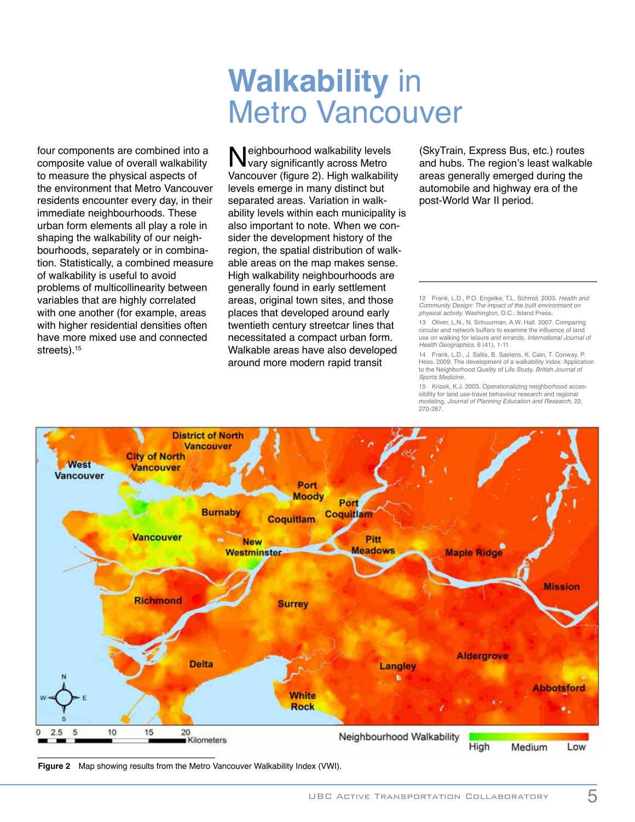# **Walkability** in Metro Vancouver

four components are combined into a composite value of overall walkability to measure the physical aspects of the environment that Metro Vancouver residents encounter every day, in their immediate neighbourhoods. These urban form elements all play a role in shaping the walkability of our neighbourhoods, separately or in combination. Statistically, a combined measure of walkability is useful to avoid problems of multicollinearity between variables that are highly correlated with one another (for example, areas with higher residential densities often have more mixed use and connected streets).<sup>15</sup>

Neighbourhood walkability levels<br>Vary significantly across Metro<br>Vareouver (figure 2), High walkabilit Vancouver (figure 2). High walkability levels emerge in many distinct but separated areas. Variation in walkability levels within each municipality is also important to note. When we consider the development history of the region, the spatial distribution of walkable areas on the map makes sense. High walkability neighbourhoods are generally found in early settlement areas, original town sites, and those places that developed around early twentieth century streetcar lines that necessitated a compact urban form. Walkable areas have also developed around more modern rapid transit

(SkyTrain, Express Bus, etc.) routes and hubs. The region's least walkable areas generally emerged during the automobile and highway era of the post-World War II period.

12 Frank, L.D., P.O. Engelke, T.L. Schmid. 2003. Health and Community Design: The impact of the built environment on physical activity. Washington, D.C.: Island Press.

13 Oliver, L.N., N. Schuurman, A.W. Hall. 2007. Comparing circular and network buffers to examine the influence of land use on walking for leisure and errands. International Journal of Health Geographics, 6 (41), 1-11.

14 Frank, L.D., J. Sallis, B. Saelens, K. Cain, T. Conway, P. Hess. 2009. The development of a walkability index: Application to the Neighborhood Quality of Life Study. British Journal of Sports Medicine.

15 Krizek, K.J. 2003. Operationalizing neighborhood accessibility for land use-travel behaviour research and regional modeling. Journal of Planning Education and Research, 22, 270-287.



**Figure 2** Map showing results from the Metro Vancouver Walkability Index (VWI).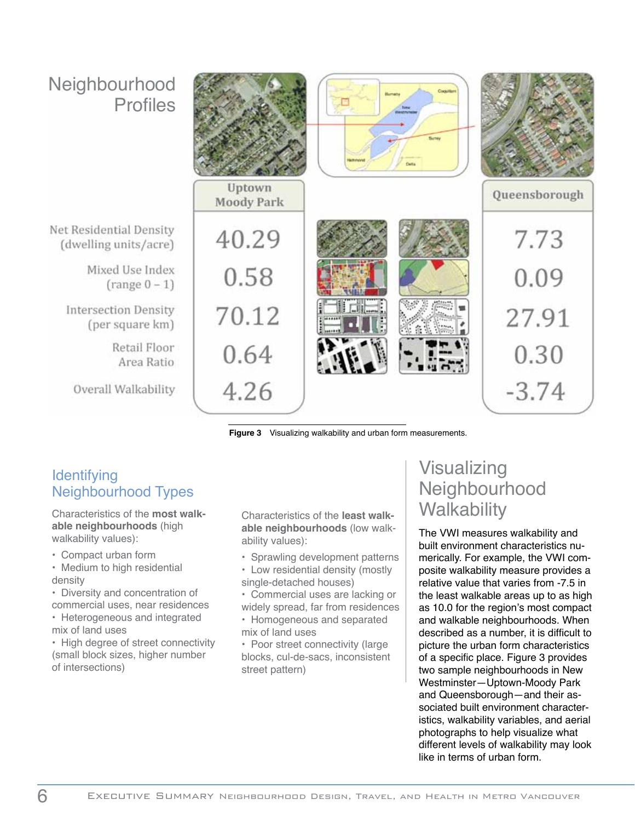

**Figure 3** Visualizing walkability and urban form measurements.

#### **Identifying** Neighbourhood Types

Characteristics of the **most walkable neighbourhoods** (high walkability values):

- Compact urban form
- Medium to high residential density
- Diversity and concentration of commercial uses, near residences
- Heterogeneous and integrated mix of land uses

• High degree of street connectivity (small block sizes, higher number of intersections)

Characteristics of the **least walkable neighbourhoods** (low walkability values):

- Sprawling development patterns
- Low residential density (mostly single-detached houses)
- Commercial uses are lacking or widely spread, far from residences
- Homogeneous and separated mix of land uses
- Poor street connectivity (large blocks, cul-de-sacs, inconsistent street pattern)

### Visualizing Neighbourhood **Walkability**

The VWI measures walkability and built environment characteristics numerically. For example, the VWI composite walkability measure provides a relative value that varies from -7.5 in the least walkable areas up to as high as 10.0 for the region's most compact and walkable neighbourhoods. When described as a number, it is difficult to picture the urban form characteristics of a specific place. Figure 3 provides two sample neighbourhoods in New Westminster—Uptown-Moody Park and Queensborough—and their associated built environment characteristics, walkability variables, and aerial photographs to help visualize what different levels of walkability may look like in terms of urban form.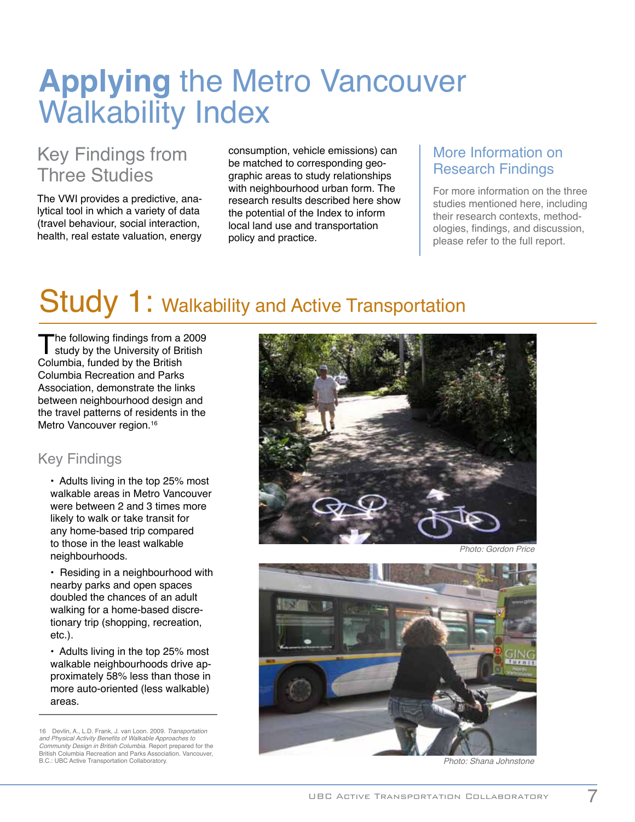# **Applying** the Metro Vancouver Walkability Index

## Key Findings from Three Studies

The VWI provides a predictive, analytical tool in which a variety of data (travel behaviour, social interaction, health, real estate valuation, energy

consumption, vehicle emissions) can be matched to corresponding geographic areas to study relationships with neighbourhood urban form. The research results described here show the potential of the Index to inform local land use and transportation policy and practice.

#### More Information on Research Findings

For more information on the three studies mentioned here, including their research contexts, methodologies, findings, and discussion, please refer to the full report.

## Study 1: Walkability and Active Transportation

The following findings from a 2009<br>study by the University of British<br>Columbia, funded by the British Columbia, funded by the British Columbia Recreation and Parks Association, demonstrate the links between neighbourhood design and the travel patterns of residents in the Metro Vancouver region.<sup>16</sup>

#### Key Findings

• Adults living in the top 25% most walkable areas in Metro Vancouver were between 2 and 3 times more likely to walk or take transit for any home-based trip compared to those in the least walkable neighbourhoods.

• Residing in a neighbourhood with nearby parks and open spaces doubled the chances of an adult walking for a home-based discretionary trip (shopping, recreation, etc.).

• Adults living in the top 25% most walkable neighbourhoods drive approximately 58% less than those in more auto-oriented (less walkable) areas.

16 Devlin, A., L.D. Frank, J. van Loon. 2009. Transportation and Physical Activity Benefits of Walkable Approaches to Community Design in British Columbia. Report prepared for the British Columbia Recreation and Parks Association. Vancouver, B.C.: UBC Active Transportation Collaboratory. **Example 2018** 2019 12:30 and 2019 12:30 and 2019 12:30 and 2019 12:30 and 2019 12:30 and 2019 12:30 and 2019 12:30 and 2019 12:30 and 2019 12:30 and 2019 12:30 and 2019 12:30





Photo: Gordon Price

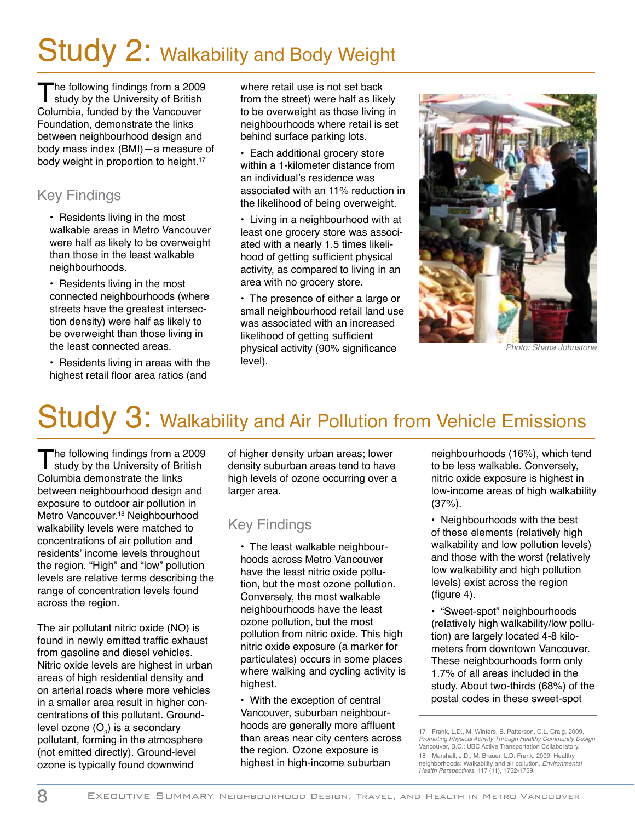# Study 2: Walkability and Body Weight

The following findings from a 2009<br>study by the University of British<br>Columbia, funded by the Veneeuver Columbia, funded by the Vancouver Foundation, demonstrate the links between neighbourhood design and body mass index (BMI)—a measure of body weight in proportion to height.<sup>17</sup>

#### Key Findings

• Residents living in the most walkable areas in Metro Vancouver were half as likely to be overweight than those in the least walkable neighbourhoods.

• Residents living in the most connected neighbourhoods (where streets have the greatest intersection density) were half as likely to be overweight than those living in the least connected areas.

• Residents living in areas with the highest retail floor area ratios (and

where retail use is not set back from the street) were half as likely to be overweight as those living in neighbourhoods where retail is set behind surface parking lots.

• Each additional grocery store within a 1-kilometer distance from an individual's residence was associated with an 11% reduction in the likelihood of being overweight.

• Living in a neighbourhood with at least one grocery store was associated with a nearly 1.5 times likelihood of getting sufficient physical activity, as compared to living in an area with no grocery store.

• The presence of either a large or small neighbourhood retail land use was associated with an increased likelihood of getting sufficient physical activity (90% significance level).



Photo: Shana Johnstone

# Study 3: Walkability and Air Pollution from Vehicle Emissions

The following findings from a 2009<br>study by the University of British<br>Columbia demanature the links Columbia demonstrate the links between neighbourhood design and exposure to outdoor air pollution in Metro Vancouver.<sup>18</sup> Neighbourhood walkability levels were matched to concentrations of air pollution and residents' income levels throughout the region. "High" and "low" pollution levels are relative terms describing the range of concentration levels found across the region.

The air pollutant nitric oxide (NO) is found in newly emitted traffic exhaust from gasoline and diesel vehicles. Nitric oxide levels are highest in urban areas of high residential density and on arterial roads where more vehicles in a smaller area result in higher concentrations of this pollutant. Groundlevel ozone  $(O_3)$  is a secondary pollutant, forming in the atmosphere (not emitted directly). Ground-level ozone is typically found downwind

of higher density urban areas; lower density suburban areas tend to have high levels of ozone occurring over a larger area.

#### Key Findings

• The least walkable neighbourhoods across Metro Vancouver have the least nitric oxide pollution, but the most ozone pollution. Conversely, the most walkable neighbourhoods have the least ozone pollution, but the most pollution from nitric oxide. This high nitric oxide exposure (a marker for particulates) occurs in some places where walking and cycling activity is highest.

• With the exception of central Vancouver, suburban neighbourhoods are generally more affluent than areas near city centers across the region. Ozone exposure is highest in high-income suburban

neighbourhoods (16%), which tend to be less walkable. Conversely, nitric oxide exposure is highest in low-income areas of high walkability (37%).

• Neighbourhoods with the best of these elements (relatively high walkability and low pollution levels) and those with the worst (relatively low walkability and high pollution levels) exist across the region (figure 4).

• "Sweet-spot" neighbourhoods (relatively high walkability/low pollution) are largely located 4-8 kilometers from downtown Vancouver. These neighbourhoods form only 1.7% of all areas included in the study. About two-thirds (68%) of the postal codes in these sweet-spot

<sup>17</sup> Frank, L.D., M. Winters, B. Patterson, C.L. Craig. 2009. Promoting Physical Activity Through Healthy Community Design. Vancouver, B.C.: UBC Active Transportation Collaboratory. 18 Marshall, J.D., M. Brauer, L.D. Frank. 2009. Healthy neighborhoods: Walkability and air pollution. Environmental Health Perspectives, 117 (11), 1752-1759.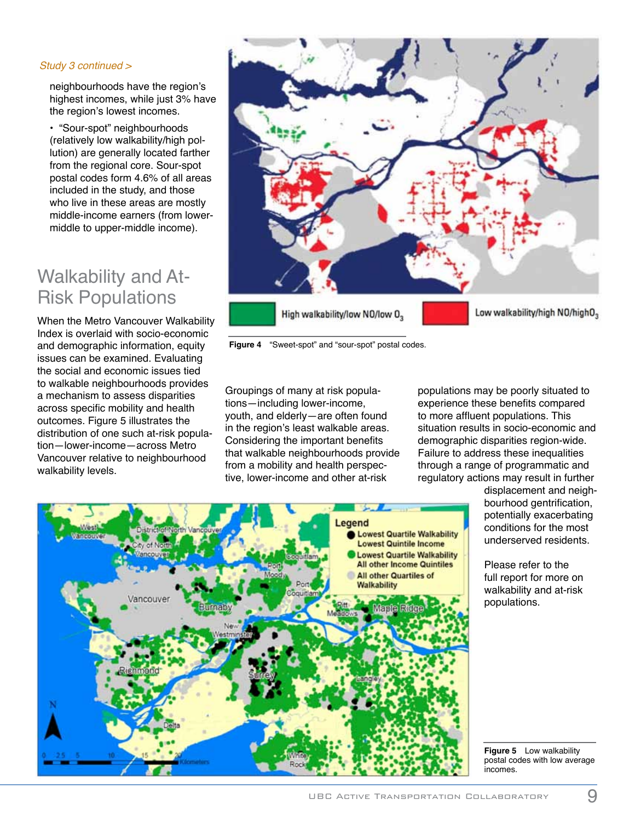#### Study 3 continued >

neighbourhoods have the region's highest incomes, while just 3% have the region's lowest incomes.

• "Sour-spot" neighbourhoods (relatively low walkability/high pollution) are generally located farther from the regional core. Sour-spot postal codes form 4.6% of all areas included in the study, and those who live in these areas are mostly middle-income earners (from lowermiddle to upper-middle income).

### Walkability and At-Risk Populations

When the Metro Vancouver Walkability Index is overlaid with socio-economic and demographic information, equity issues can be examined. Evaluating the social and economic issues tied to walkable neighbourhoods provides a mechanism to assess disparities across specific mobility and health outcomes. Figure 5 illustrates the distribution of one such at-risk population—lower-income—across Metro Vancouver relative to neighbourhood walkability levels.



**Figure 4** "Sweet-spot" and "sour-spot" postal codes.

Groupings of many at risk populations—including lower-income, youth, and elderly—are often found in the region's least walkable areas. Considering the important benefits that walkable neighbourhoods provide from a mobility and health perspective, lower-income and other at-risk

populations may be poorly situated to experience these benefits compared to more affluent populations. This situation results in socio-economic and demographic disparities region-wide. Failure to address these inequalities through a range of programmatic and regulatory actions may result in further



displacement and neighbourhood gentrification, potentially exacerbating conditions for the most underserved residents.

Please refer to the full report for more on walkability and at-risk populations.

**Figure 5** Low walkability postal codes with low average incomes.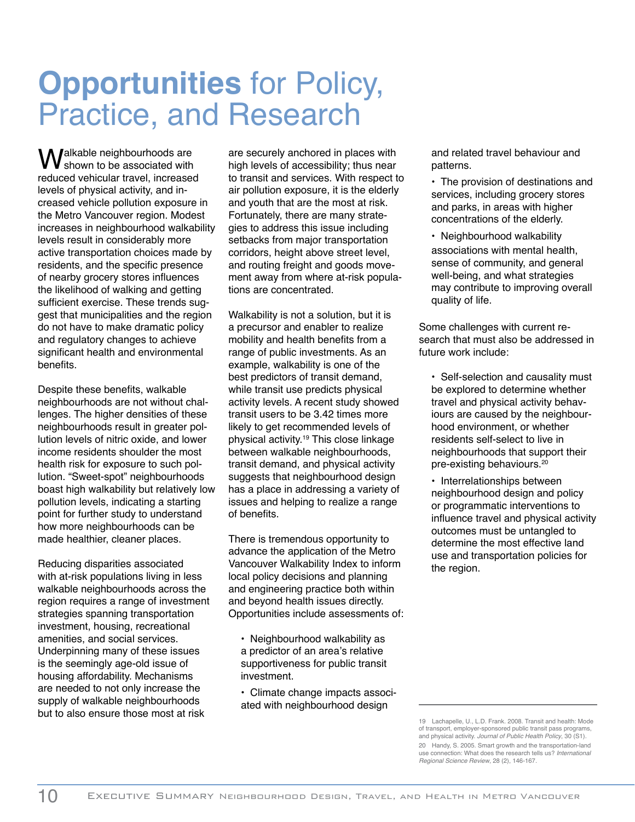# **Opportunities** for Policy, Practice, and Research

Walkable neighbourhoods are shown to be associated with reduced vehicular travel, increased levels of physical activity, and increased vehicle pollution exposure in the Metro Vancouver region. Modest increases in neighbourhood walkability levels result in considerably more active transportation choices made by residents, and the specific presence of nearby grocery stores influences the likelihood of walking and getting sufficient exercise. These trends suggest that municipalities and the region do not have to make dramatic policy and regulatory changes to achieve significant health and environmental benefits.

Despite these benefits, walkable neighbourhoods are not without challenges. The higher densities of these neighbourhoods result in greater pollution levels of nitric oxide, and lower income residents shoulder the most health risk for exposure to such pollution. "Sweet-spot" neighbourhoods boast high walkability but relatively low pollution levels, indicating a starting point for further study to understand how more neighbourhoods can be made healthier, cleaner places.

Reducing disparities associated with at-risk populations living in less walkable neighbourhoods across the region requires a range of investment strategies spanning transportation investment, housing, recreational amenities, and social services. Underpinning many of these issues is the seemingly age-old issue of housing affordability. Mechanisms are needed to not only increase the supply of walkable neighbourhoods but to also ensure those most at risk

are securely anchored in places with high levels of accessibility; thus near to transit and services. With respect to air pollution exposure, it is the elderly and youth that are the most at risk. Fortunately, there are many strategies to address this issue including setbacks from major transportation corridors, height above street level, and routing freight and goods movement away from where at-risk populations are concentrated.

Walkability is not a solution, but it is a precursor and enabler to realize mobility and health benefits from a range of public investments. As an example, walkability is one of the best predictors of transit demand, while transit use predicts physical activity levels. A recent study showed transit users to be 3.42 times more likely to get recommended levels of physical activity.19 This close linkage between walkable neighbourhoods, transit demand, and physical activity suggests that neighbourhood design has a place in addressing a variety of issues and helping to realize a range of benefits.

There is tremendous opportunity to advance the application of the Metro Vancouver Walkability Index to inform local policy decisions and planning and engineering practice both within and beyond health issues directly. Opportunities include assessments of:

- Neighbourhood walkability as a predictor of an area's relative supportiveness for public transit investment.
- Climate change impacts associated with neighbourhood design

and related travel behaviour and patterns.

- The provision of destinations and services, including grocery stores and parks, in areas with higher concentrations of the elderly.
- Neighbourhood walkability associations with mental health, sense of community, and general well-being, and what strategies may contribute to improving overall quality of life.

Some challenges with current research that must also be addressed in future work include:

- Self-selection and causality must be explored to determine whether travel and physical activity behaviours are caused by the neighbourhood environment, or whether residents self-select to live in neighbourhoods that support their pre-existing behaviours.20
- Interrelationships between neighbourhood design and policy or programmatic interventions to influence travel and physical activity outcomes must be untangled to determine the most effective land use and transportation policies for the region.

<sup>19</sup> Lachapelle, U., L.D. Frank. 2008. Transit and health: Mode of transport, employer-sponsored public transit pass programs, and physical activity. Journal of Public Health Policy, 30 (S1). 20 Handy, S. 2005. Smart growth and the transportation-land use connection: What does the research tells us? International Regional Science Review, 28 (2), 146-167.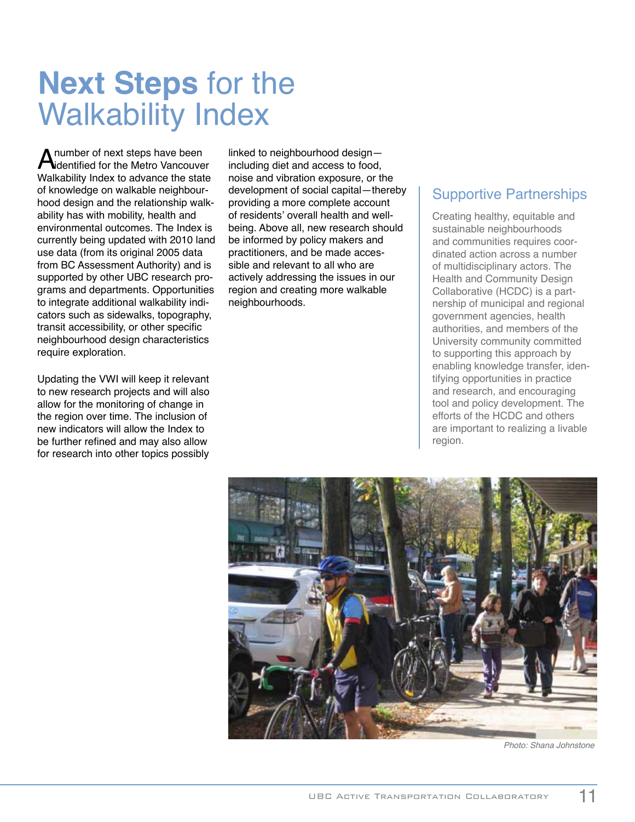# **Next Steps** for the Walkability Index

**A** number of next steps have been<br>
Midentified for the Metro Vancouver Walkability Index to advance the state of knowledge on walkable neighbourhood design and the relationship walkability has with mobility, health and environmental outcomes. The Index is currently being updated with 2010 land use data (from its original 2005 data from BC Assessment Authority) and is supported by other UBC research programs and departments. Opportunities to integrate additional walkability indicators such as sidewalks, topography, transit accessibility, or other specific neighbourhood design characteristics require exploration.

Updating the VWI will keep it relevant to new research projects and will also allow for the monitoring of change in the region over time. The inclusion of new indicators will allow the Index to be further refined and may also allow for research into other topics possibly

linked to neighbourhood design including diet and access to food, noise and vibration exposure, or the development of social capital—thereby providing a more complete account of residents' overall health and wellbeing. Above all, new research should be informed by policy makers and practitioners, and be made accessible and relevant to all who are actively addressing the issues in our region and creating more walkable neighbourhoods.

#### Supportive Partnerships

Creating healthy, equitable and sustainable neighbourhoods and communities requires coordinated action across a number of multidisciplinary actors. The Health and Community Design Collaborative (HCDC) is a partnership of municipal and regional government agencies, health authorities, and members of the University community committed to supporting this approach by enabling knowledge transfer, identifying opportunities in practice and research, and encouraging tool and policy development. The efforts of the HCDC and others are important to realizing a livable region.



Photo: Shana Johnstone